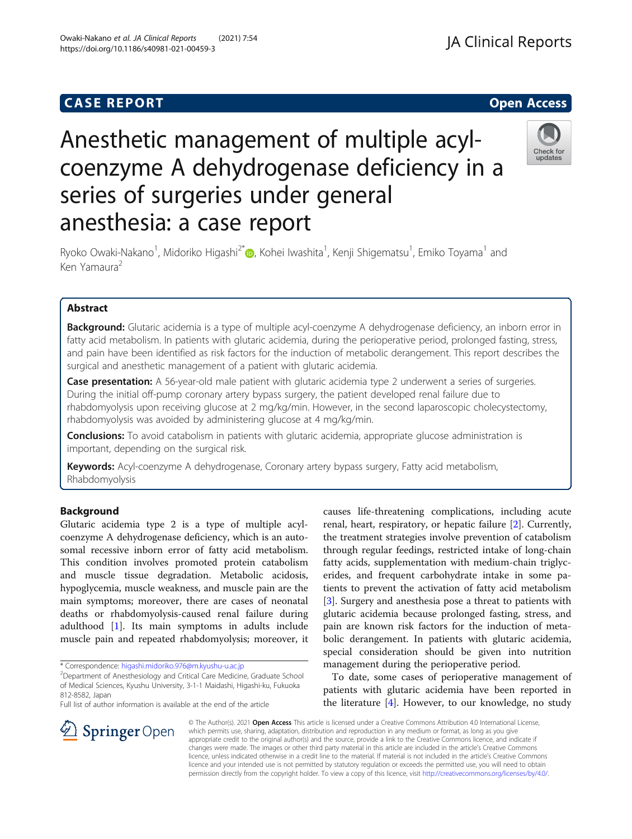# **CASE REPORT CASE REPORT CASE REPORT**

# Anesthetic management of multiple acylcoenzyme A dehydrogenase deficiency in a series of surgeries under general anesthesia: a case report

Ryoko Owaki-Nakano<sup>1</sup>[,](http://orcid.org/0000-0002-1860-0747) Midoriko Higashi<sup>2\*</sup>®, Kohei Iwashita<sup>1</sup>, Kenji Shigematsu<sup>1</sup>, Emiko Toyama<sup>1</sup> and Ken Yamaura<sup>2</sup>

# Abstract

**Background:** Glutaric acidemia is a type of multiple acyl-coenzyme A dehydrogenase deficiency, an inborn error in fatty acid metabolism. In patients with glutaric acidemia, during the perioperative period, prolonged fasting, stress, and pain have been identified as risk factors for the induction of metabolic derangement. This report describes the surgical and anesthetic management of a patient with glutaric acidemia.

Case presentation: A 56-year-old male patient with glutaric acidemia type 2 underwent a series of surgeries. During the initial off-pump coronary artery bypass surgery, the patient developed renal failure due to rhabdomyolysis upon receiving glucose at 2 mg/kg/min. However, in the second laparoscopic cholecystectomy, rhabdomyolysis was avoided by administering glucose at 4 mg/kg/min.

**Conclusions:** To avoid catabolism in patients with glutaric acidemia, appropriate glucose administration is important, depending on the surgical risk.

Keywords: Acyl-coenzyme A dehydrogenase, Coronary artery bypass surgery, Fatty acid metabolism, Rhabdomyolysis

# Background

Glutaric acidemia type 2 is a type of multiple acylcoenzyme A dehydrogenase deficiency, which is an autosomal recessive inborn error of fatty acid metabolism. This condition involves promoted protein catabolism and muscle tissue degradation. Metabolic acidosis, hypoglycemia, muscle weakness, and muscle pain are the main symptoms; moreover, there are cases of neonatal deaths or rhabdomyolysis-caused renal failure during adulthood [[1](#page-3-0)]. Its main symptoms in adults include muscle pain and repeated rhabdomyolysis; moreover, it

\* Correspondence: [higashi.midoriko.976@m.kyushu-u.ac.jp](mailto:higashi.midoriko.976@m.kyushu-u.ac.jp) <sup>2</sup>

 $\perp$  Springer Open

Department of Anesthesiology and Critical Care Medicine, Graduate School of Medical Sciences, Kyushu University, 3-1-1 Maidashi, Higashi-ku, Fukuoka 812-8582, Japan

Full list of author information is available at the end of the article

causes life-threatening complications, including acute renal, heart, respiratory, or hepatic failure [[2\]](#page-3-0). Currently, the treatment strategies involve prevention of catabolism through regular feedings, restricted intake of long-chain fatty acids, supplementation with medium-chain triglycerides, and frequent carbohydrate intake in some patients to prevent the activation of fatty acid metabolism [[3\]](#page-3-0). Surgery and anesthesia pose a threat to patients with glutaric acidemia because prolonged fasting, stress, and pain are known risk factors for the induction of metabolic derangement. In patients with glutaric acidemia, special consideration should be given into nutrition management during the perioperative period.

To date, some cases of perioperative management of patients with glutaric acidemia have been reported in the literature [[4\]](#page-3-0). However, to our knowledge, no study

© The Author(s). 2021 Open Access This article is licensed under a Creative Commons Attribution 4.0 International License, which permits use, sharing, adaptation, distribution and reproduction in any medium or format, as long as you give appropriate credit to the original author(s) and the source, provide a link to the Creative Commons licence, and indicate if changes were made. The images or other third party material in this article are included in the article's Creative Commons licence, unless indicated otherwise in a credit line to the material. If material is not included in the article's Creative Commons licence and your intended use is not permitted by statutory regulation or exceeds the permitted use, you will need to obtain permission directly from the copyright holder. To view a copy of this licence, visit <http://creativecommons.org/licenses/by/4.0/>.

Owaki-Nakano et al. JA Clinical Reports (2021) 7:54 https://doi.org/10.1186/s40981-021-00459-3





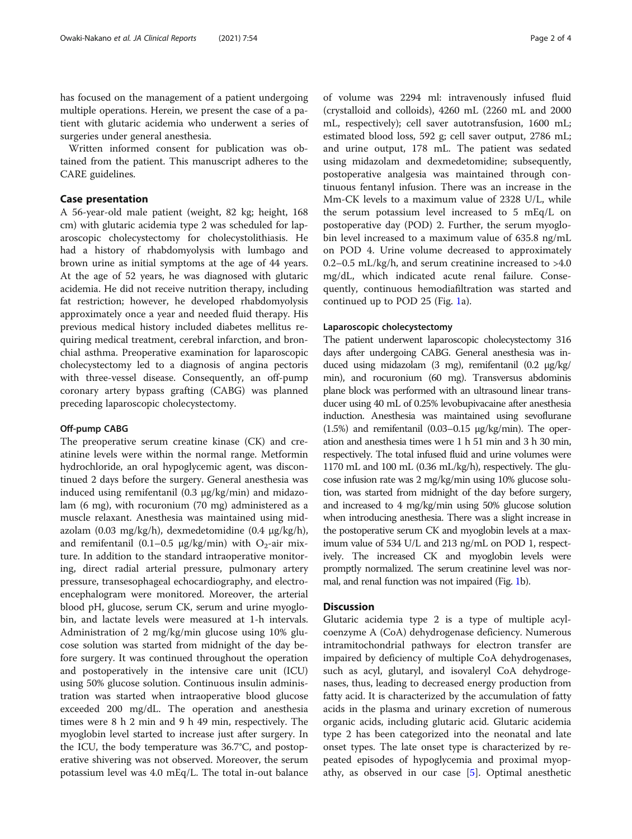has focused on the management of a patient undergoing multiple operations. Herein, we present the case of a patient with glutaric acidemia who underwent a series of surgeries under general anesthesia.

Written informed consent for publication was obtained from the patient. This manuscript adheres to the CARE guidelines.

## Case presentation

A 56-year-old male patient (weight, 82 kg; height, 168 cm) with glutaric acidemia type 2 was scheduled for laparoscopic cholecystectomy for cholecystolithiasis. He had a history of rhabdomyolysis with lumbago and brown urine as initial symptoms at the age of 44 years. At the age of 52 years, he was diagnosed with glutaric acidemia. He did not receive nutrition therapy, including fat restriction; however, he developed rhabdomyolysis approximately once a year and needed fluid therapy. His previous medical history included diabetes mellitus requiring medical treatment, cerebral infarction, and bronchial asthma. Preoperative examination for laparoscopic cholecystectomy led to a diagnosis of angina pectoris with three-vessel disease. Consequently, an off-pump coronary artery bypass grafting (CABG) was planned preceding laparoscopic cholecystectomy.

## Off-pump CABG

The preoperative serum creatine kinase (CK) and creatinine levels were within the normal range. Metformin hydrochloride, an oral hypoglycemic agent, was discontinued 2 days before the surgery. General anesthesia was induced using remifentanil (0.3 μg/kg/min) and midazolam (6 mg), with rocuronium (70 mg) administered as a muscle relaxant. Anesthesia was maintained using midazolam (0.03 mg/kg/h), dexmedetomidine (0.4 μg/kg/h), and remifentanil (0.1–0.5  $\mu$ g/kg/min) with O<sub>2</sub>-air mixture. In addition to the standard intraoperative monitoring, direct radial arterial pressure, pulmonary artery pressure, transesophageal echocardiography, and electroencephalogram were monitored. Moreover, the arterial blood pH, glucose, serum CK, serum and urine myoglobin, and lactate levels were measured at 1-h intervals. Administration of 2 mg/kg/min glucose using 10% glucose solution was started from midnight of the day before surgery. It was continued throughout the operation and postoperatively in the intensive care unit (ICU) using 50% glucose solution. Continuous insulin administration was started when intraoperative blood glucose exceeded 200 mg/dL. The operation and anesthesia times were 8 h 2 min and 9 h 49 min, respectively. The myoglobin level started to increase just after surgery. In the ICU, the body temperature was 36.7°C, and postoperative shivering was not observed. Moreover, the serum potassium level was 4.0 mEq/L. The total in-out balance

of volume was 2294 ml: intravenously infused fluid (crystalloid and colloids), 4260 mL (2260 mL and 2000 mL, respectively); cell saver autotransfusion, 1600 mL; estimated blood loss, 592 g; cell saver output, 2786 mL; and urine output, 178 mL. The patient was sedated using midazolam and dexmedetomidine; subsequently, postoperative analgesia was maintained through continuous fentanyl infusion. There was an increase in the Mm-CK levels to a maximum value of 2328 U/L, while the serum potassium level increased to 5 mEq/L on postoperative day (POD) 2. Further, the serum myoglobin level increased to a maximum value of 635.8 ng/mL on POD 4. Urine volume decreased to approximately 0.2–0.5 mL/kg/h, and serum creatinine increased to >4.0 mg/dL, which indicated acute renal failure. Consequently, continuous hemodiafiltration was started and continued up to POD 25 (Fig. [1a](#page-2-0)).

## Laparoscopic cholecystectomy

The patient underwent laparoscopic cholecystectomy 316 days after undergoing CABG. General anesthesia was induced using midazolam (3 mg), remifentanil (0.2 μg/kg/ min), and rocuronium (60 mg). Transversus abdominis plane block was performed with an ultrasound linear transducer using 40 mL of 0.25% levobupivacaine after anesthesia induction. Anesthesia was maintained using sevoflurane (1.5%) and remifentanil (0.03–0.15 μg/kg/min). The operation and anesthesia times were 1 h 51 min and 3 h 30 min, respectively. The total infused fluid and urine volumes were 1170 mL and 100 mL (0.36 mL/kg/h), respectively. The glucose infusion rate was 2 mg/kg/min using 10% glucose solution, was started from midnight of the day before surgery, and increased to 4 mg/kg/min using 50% glucose solution when introducing anesthesia. There was a slight increase in the postoperative serum CK and myoglobin levels at a maximum value of 534 U/L and 213 ng/mL on POD 1, respectively. The increased CK and myoglobin levels were promptly normalized. The serum creatinine level was normal, and renal function was not impaired (Fig. [1](#page-2-0)b).

# **Discussion**

Glutaric acidemia type 2 is a type of multiple acylcoenzyme A (CoA) dehydrogenase deficiency. Numerous intramitochondrial pathways for electron transfer are impaired by deficiency of multiple CoA dehydrogenases, such as acyl, glutaryl, and isovaleryl CoA dehydrogenases, thus, leading to decreased energy production from fatty acid. It is characterized by the accumulation of fatty acids in the plasma and urinary excretion of numerous organic acids, including glutaric acid. Glutaric acidemia type 2 has been categorized into the neonatal and late onset types. The late onset type is characterized by repeated episodes of hypoglycemia and proximal myopathy, as observed in our case [[5\]](#page-3-0). Optimal anesthetic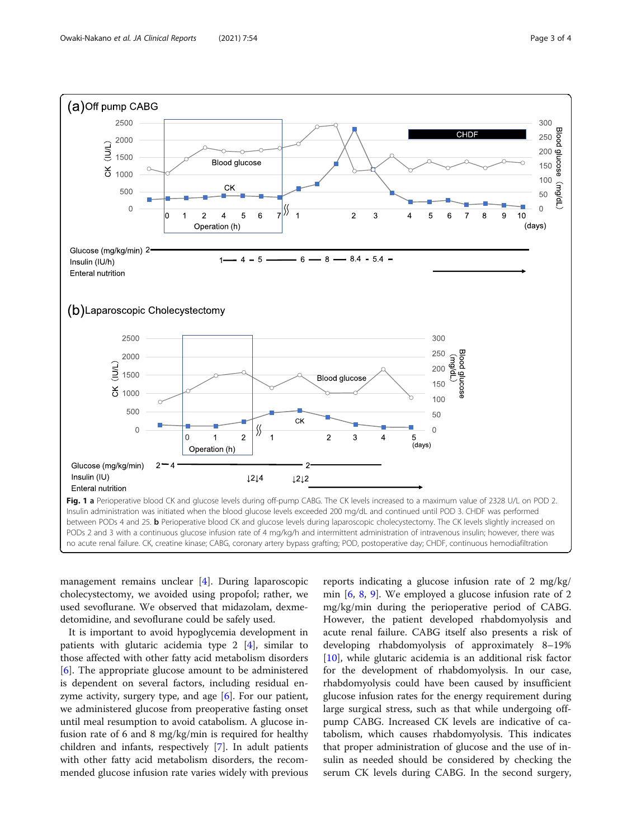<span id="page-2-0"></span>

management remains unclear [\[4](#page-3-0)]. During laparoscopic cholecystectomy, we avoided using propofol; rather, we used sevoflurane. We observed that midazolam, dexmedetomidine, and sevoflurane could be safely used.

It is important to avoid hypoglycemia development in patients with glutaric acidemia type 2 [[4\]](#page-3-0), similar to those affected with other fatty acid metabolism disorders [[6\]](#page-3-0). The appropriate glucose amount to be administered is dependent on several factors, including residual enzyme activity, surgery type, and age  $[6]$  $[6]$ . For our patient, we administered glucose from preoperative fasting onset until meal resumption to avoid catabolism. A glucose infusion rate of 6 and 8 mg/kg/min is required for healthy children and infants, respectively [[7\]](#page-3-0). In adult patients with other fatty acid metabolism disorders, the recommended glucose infusion rate varies widely with previous

reports indicating a glucose infusion rate of 2 mg/kg/ min [[6,](#page-3-0) [8](#page-3-0), [9](#page-3-0)]. We employed a glucose infusion rate of 2 mg/kg/min during the perioperative period of CABG. However, the patient developed rhabdomyolysis and acute renal failure. CABG itself also presents a risk of developing rhabdomyolysis of approximately 8–19% [[10\]](#page-3-0), while glutaric acidemia is an additional risk factor for the development of rhabdomyolysis. In our case, rhabdomyolysis could have been caused by insufficient glucose infusion rates for the energy requirement during large surgical stress, such as that while undergoing offpump CABG. Increased CK levels are indicative of catabolism, which causes rhabdomyolysis. This indicates that proper administration of glucose and the use of insulin as needed should be considered by checking the serum CK levels during CABG. In the second surgery,